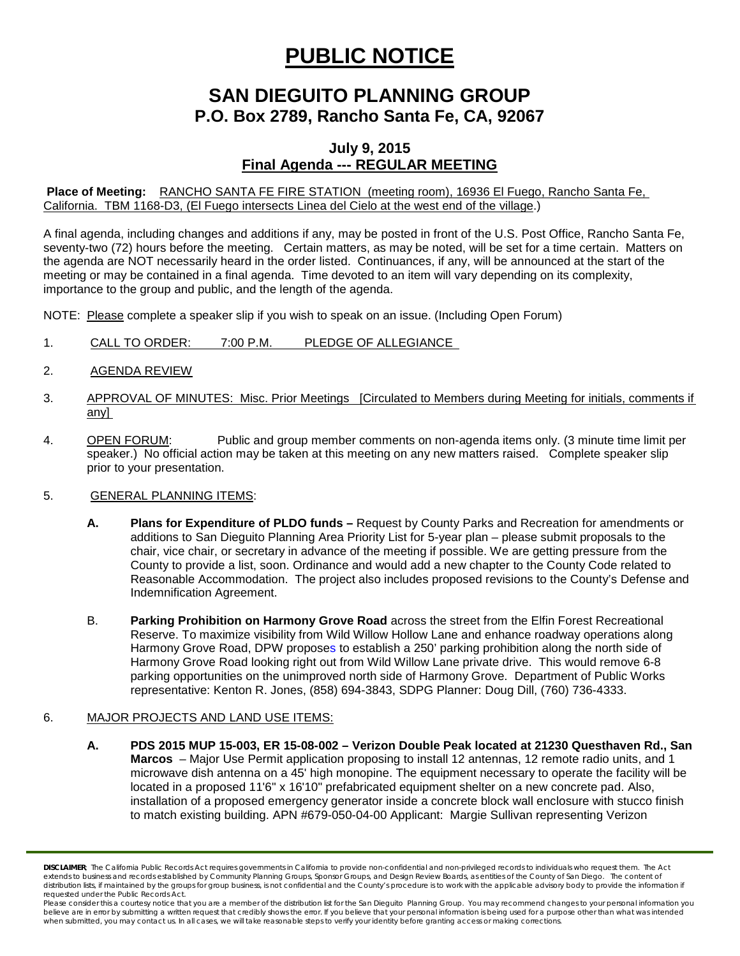# **PUBLIC NOTICE**

### **SAN DIEGUITO PLANNING GROUP P.O. Box 2789, Rancho Santa Fe, CA, 92067**

### **July 9, 2015 Final Agenda --- REGULAR MEETING**

**Place of Meeting:** RANCHO SANTA FE FIRE STATION (meeting room), 16936 El Fuego, Rancho Santa Fe, California. TBM 1168-D3, (El Fuego intersects Linea del Cielo at the west end of the village.)

A final agenda, including changes and additions if any, may be posted in front of the U.S. Post Office, Rancho Santa Fe, seventy-two (72) hours before the meeting. Certain matters, as may be noted, will be set for a time certain. Matters on the agenda are NOT necessarily heard in the order listed. Continuances, if any, will be announced at the start of the meeting or may be contained in a final agenda. Time devoted to an item will vary depending on its complexity, importance to the group and public, and the length of the agenda.

NOTE: Please complete a speaker slip if you wish to speak on an issue. (Including Open Forum)

- 1. CALL TO ORDER: 7:00 P.M. PLEDGE OF ALLEGIANCE
- 2. AGENDA REVIEW
- 3. APPROVAL OF MINUTES: Misc. Prior Meetings [Circulated to Members during Meeting for initials, comments if any]
- 4. OPEN FORUM: Public and group member comments on non-agenda items only. (3 minute time limit per speaker.) No official action may be taken at this meeting on any new matters raised. Complete speaker slip prior to your presentation.

#### 5. GENERAL PLANNING ITEMS:

- **A. Plans for Expenditure of PLDO funds –** Request by County Parks and Recreation for amendments or additions to San Dieguito Planning Area Priority List for 5-year plan – please submit proposals to the chair, vice chair, or secretary in advance of the meeting if possible. We are getting pressure from the County to provide a list, soon. Ordinance and would add a new chapter to the County Code related to Reasonable Accommodation. The project also includes proposed revisions to the County's Defense and Indemnification Agreement.
- B. **Parking Prohibition on Harmony Grove Road** across the street from the Elfin Forest Recreational Reserve. To maximize visibility from Wild Willow Hollow Lane and enhance roadway operations along Harmony Grove Road, DPW proposes to establish a 250' parking prohibition along the north side of Harmony Grove Road looking right out from Wild Willow Lane private drive. This would remove 6-8 parking opportunities on the unimproved north side of Harmony Grove. Department of Public Works representative: Kenton R. Jones, (858) 694-3843, SDPG Planner: Doug Dill, (760) 736-4333.

#### 6. MAJOR PROJECTS AND LAND USE ITEMS:

**A. PDS 2015 MUP 15-003, ER 15-08-002 – Verizon Double Peak located at 21230 Questhaven Rd., San Marcos** – Major Use Permit application proposing to install 12 antennas, 12 remote radio units, and 1 microwave dish antenna on a 45' high monopine. The equipment necessary to operate the facility will be located in a proposed 11'6" x 16'10" prefabricated equipment shelter on a new concrete pad. Also, installation of a proposed emergency generator inside a concrete block wall enclosure with stucco finish to match existing building. APN #679-050-04-00 Applicant: Margie Sullivan representing Verizon

*DISCLAIMER; The California Public Records Act requires governments in California to provide non-confidential and non-privileged records to individuals who request them. The Act*  extends to business and records established by Community Planning Groups, Sponsor Groups, and Design Review Boards, as entities of the County of San Diego. The content of distribution lists, if maintained by the groups for group business, is not confidential and the County's procedure is to work with the applicable advisory body to provide the information if *requested under the Public Records Act.*

*Please consider this a courtesy notice that you are a member of the distribution list for the San Dieguito Planning Group. You may recommend changes to your personal information you*  believe are in error by submitting a written request that credibly shows the error. If you believe that your personal information is being used for a purpose other than what was intended<br>when submitted, you may contact us.